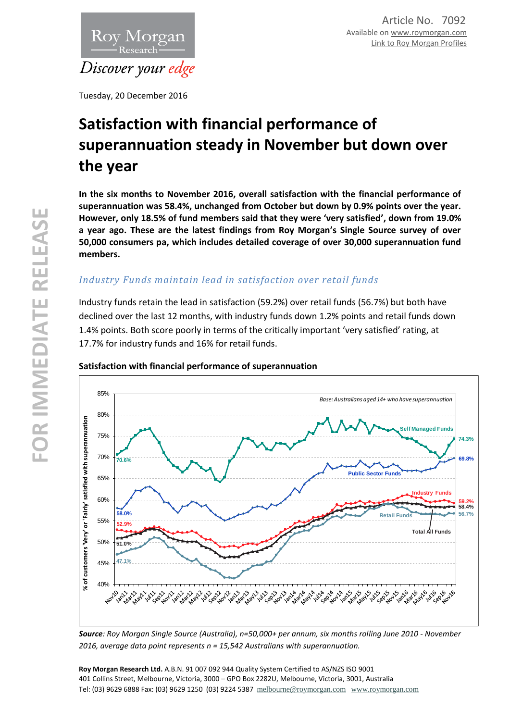

Tuesday, 20 December 2016

# **Satisfaction with financial performance of superannuation steady in November but down over the year**

**In the six months to November 2016, overall satisfaction with the financial performance of superannuation was 58.4%, unchanged from October but down by 0.9% points over the year. However, only 18.5% of fund members said that they were 'very satisfied', down from 19.0% a year ago. These are the latest findings from Roy Morgan's Single Source survey of over 50,000 consumers pa, which includes detailed coverage of over 30,000 superannuation fund members.**

# *Industry Funds maintain lead in satisfaction over retail funds*

Industry funds retain the lead in satisfaction (59.2%) over retail funds (56.7%) but both have declined over the last 12 months, with industry funds down 1.2% points and retail funds down 1.4% points. Both score poorly in terms of the critically important 'very satisfied' rating, at 17.7% for industry funds and 16% for retail funds.



### **Satisfaction with financial performance of superannuation**

*Source: Roy Morgan Single Source (Australia), n=50,000+ per annum, six months rolling June 2010 - November 2016, average data point represents n = 15,542 Australians with superannuation.*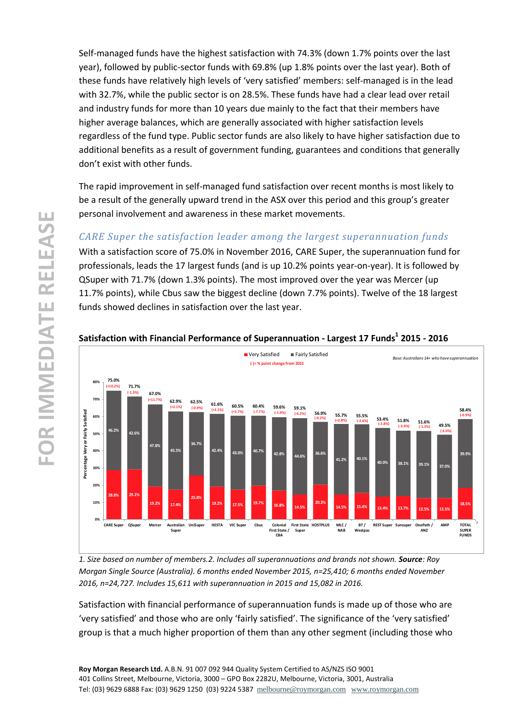Self-managed funds have the highest satisfaction with 74.3% (down 1.7% points over the last year), followed by public-sector funds with 69.8% (up 1.8% points over the last year). Both of these funds have relatively high levels of 'very satisfied' members: self-managed is in the lead with 32.7%, while the public sector is on 28.5%. These funds have had a clear lead over retail and industry funds for more than 10 years due mainly to the fact that their members have higher average balances, which are generally associated with higher satisfaction levels regardless of the fund type. Public sector funds are also likely to have higher satisfaction due to additional benefits as a result of government funding, guarantees and conditions that generally don't exist with other funds.

The rapid improvement in self-managed fund satisfaction over recent months is most likely to be a result of the generally upward trend in the ASX over this period and this group's greater personal involvement and awareness in these market movements.

# *CARE Super the satisfaction leader among the largest superannuation funds*

With a satisfaction score of 75.0% in November 2016, CARE Super, the superannuation fund for professionals, leads the 17 largest funds (and is up 10.2% points year-on-year). It is followed by QSuper with 71.7% (down 1.3% points). The most improved over the year was Mercer (up 11.7% points), while Cbus saw the biggest decline (down 7.7% points). Twelve of the 18 largest funds showed declines in satisfaction over the last year.



## **Satisfaction with Financial Performance of Superannuation - Largest 17 Funds<sup>1</sup> 2015 - 2016**

*1. Size based on number of members.2. Includes all superannuations and brands not shown. Source: Roy Morgan Single Source (Australia). 6 months ended November 2015, n=25,410; 6 months ended November 2016, n=24,727. Includes 15,611 with superannuation in 2015 and 15,082 in 2016.*

Satisfaction with financial performance of superannuation funds is made up of those who are 'very satisfied' and those who are only 'fairly satisfied'. The significance of the 'very satisfied' group is that a much higher proportion of them than any other segment (including those who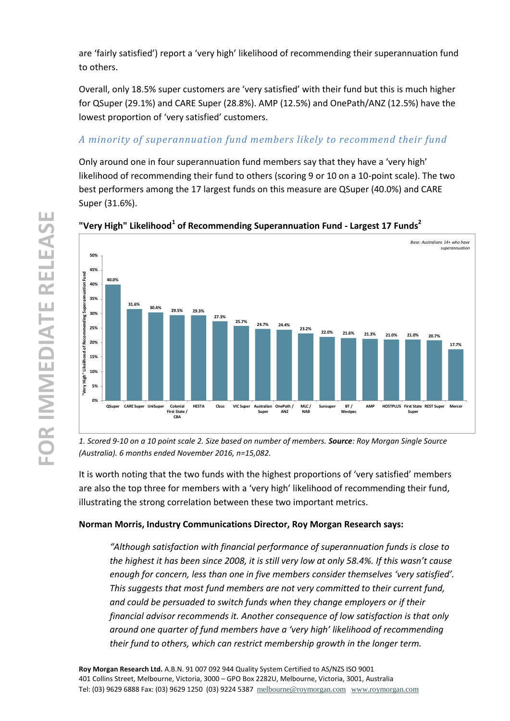are 'fairly satisfied') report a 'very high' likelihood of recommending their superannuation fund to others.

Overall, only 18.5% super customers are 'very satisfied' with their fund but this is much higher for QSuper (29.1%) and CARE Super (28.8%). AMP (12.5%) and OnePath/ANZ (12.5%) have the lowest proportion of 'very satisfied' customers.

# *A minority of superannuation fund members likely to recommend their fund*

Only around one in four superannuation fund members say that they have a 'very high' likelihood of recommending their fund to others (scoring 9 or 10 on a 10-point scale). The two best performers among the 17 largest funds on this measure are QSuper (40.0%) and CARE Super (31.6%).



## **"Very High" Likelihood<sup>1</sup> of Recommending Superannuation Fund - Largest 17 Funds<sup>2</sup>**

*1. Scored 9-10 on a 10 point scale 2. Size based on number of members. Source: Roy Morgan Single Source (Australia). 6 months ended November 2016, n=15,082.*

It is worth noting that the two funds with the highest proportions of 'very satisfied' members are also the top three for members with a 'very high' likelihood of recommending their fund, illustrating the strong correlation between these two important metrics.

## **Norman Morris, Industry Communications Director, Roy Morgan Research says:**

*"Although satisfaction with financial performance of superannuation funds is close to the highest it has been since 2008, it is still very low at only 58.4%. If this wasn't cause enough for concern, less than one in five members consider themselves 'very satisfied'. This suggests that most fund members are not very committed to their current fund, and could be persuaded to switch funds when they change employers or if their financial advisor recommends it. Another consequence of low satisfaction is that only around one quarter of fund members have a 'very high' likelihood of recommending their fund to others, which can restrict membership growth in the longer term.*